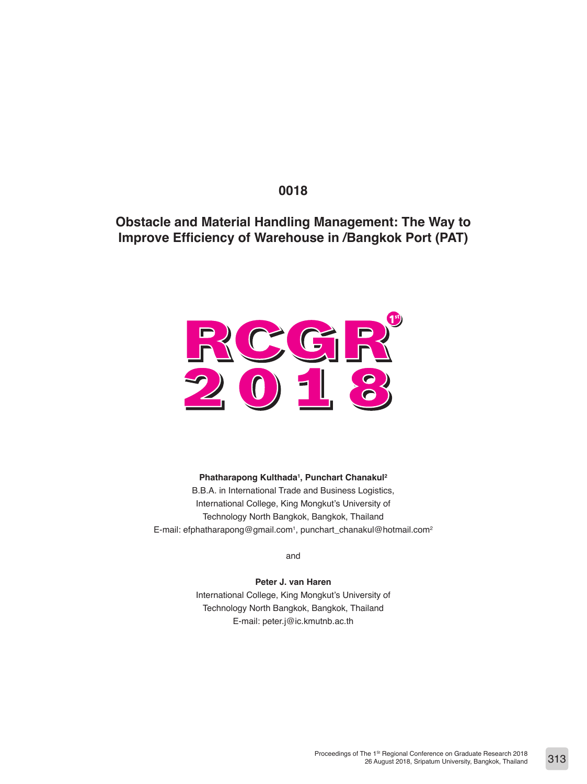## **0018**

# **Obstacle and Material Handling Management: The Way to Improve Efficiency of Warehouse in /Bangkok Port (PAT)**



**Phatharapong Kulthada1 , Punchart Chanakul2**

B.B.A. in International Trade and Business Logistics, International College, King Mongkut's University of Technology North Bangkok, Bangkok, Thailand E-mail: efphatharapong@gmail.com<sup>1</sup>, punchart\_chanakul@hotmail.com<sup>2</sup>

and

**Peter J. van Haren** International College, King Mongkut's University of Technology North Bangkok, Bangkok, Thailand E-mail: peter.j@ic.kmutnb.ac.th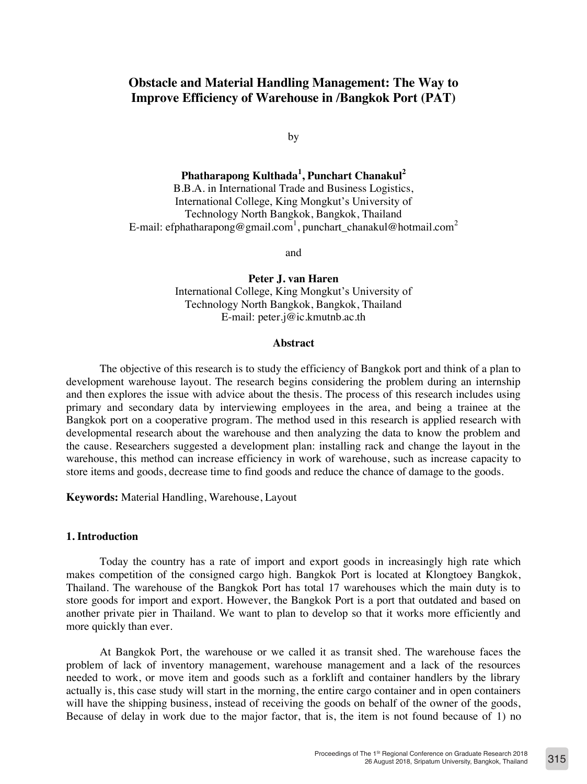## **Obstacle and Material Handling Management: The Way to Improve Efficiency of Warehouse in /Bangkok Port (PAT)**

by

**Phatharapong Kulthada<sup>1</sup> , Punchart Chanakul<sup>2</sup>** B.B.A. in International Trade and Business Logistics, International College, King Mongkut's University of Technology North Bangkok, Bangkok, Thailand E-mail: efphatharapong@gmail.com<sup>1</sup>, punchart\_chanakul@hotmail.com<sup>2</sup>

and

**Peter J. van Haren** International College, King Mongkut's University of Technology North Bangkok, Bangkok, Thailand E-mail: peter.j@ic.kmutnb.ac.th

#### **Abstract**

The objective of this research is to study the efficiency of Bangkok port and think of a plan to development warehouse layout. The research begins considering the problem during an internship and then explores the issue with advice about the thesis. The process of this research includes using primary and secondary data by interviewing employees in the area, and being a trainee at the Bangkok port on a cooperative program. The method used in this research is applied research with developmental research about the warehouse and then analyzing the data to know the problem and the cause. Researchers suggested a development plan: installing rack and change the layout in the warehouse, this method can increase efficiency in work of warehouse, such as increase capacity to store items and goods, decrease time to find goods and reduce the chance of damage to the goods.

**Keywords:** Material Handling, Warehouse, Layout

#### **1. Introduction**

Today the country has a rate of import and export goods in increasingly high rate which makes competition of the consigned cargo high. Bangkok Port is located at Klongtoey Bangkok, Thailand. The warehouse of the Bangkok Port has total 17 warehouses which the main duty is to store goods for import and export. However, the Bangkok Port is a port that outdated and based on another private pier in Thailand. We want to plan to develop so that it works more efficiently and more quickly than ever.

At Bangkok Port, the warehouse or we called it as transit shed. The warehouse faces the problem of lack of inventory management, warehouse management and a lack of the resources needed to work, or move item and goods such as a forklift and container handlers by the library actually is, this case study will start in the morning, the entire cargo container and in open containers will have the shipping business, instead of receiving the goods on behalf of the owner of the goods, Because of delay in work due to the major factor, that is, the item is not found because of 1) no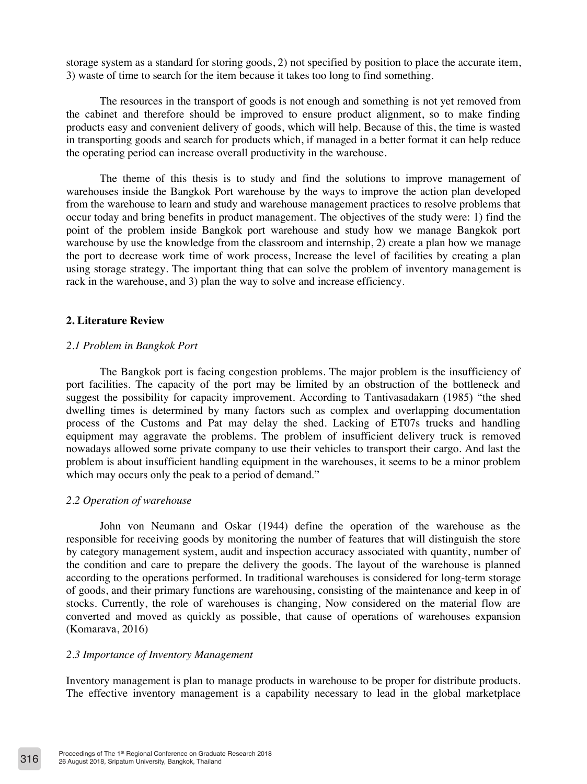storage system as a standard for storing goods, 2) not specified by position to place the accurate item, 3) waste of time to search for the item because it takes too long to find something.

The resources in the transport of goods is not enough and something is not yet removed from the cabinet and therefore should be improved to ensure product alignment, so to make finding products easy and convenient delivery of goods, which will help. Because of this, the time is wasted in transporting goods and search for products which, if managed in a better format it can help reduce the operating period can increase overall productivity in the warehouse.

The theme of this thesis is to study and find the solutions to improve management of warehouses inside the Bangkok Port warehouse by the ways to improve the action plan developed from the warehouse to learn and study and warehouse management practices to resolve problems that occur today and bring benefits in product management. The objectives of the study were: 1) find the point of the problem inside Bangkok port warehouse and study how we manage Bangkok port warehouse by use the knowledge from the classroom and internship, 2) create a plan how we manage the port to decrease work time of work process, Increase the level of facilities by creating a plan using storage strategy. The important thing that can solve the problem of inventory management is rack in the warehouse, and 3) plan the way to solve and increase efficiency.

## **2. Literature Review**

## *2.1 Problem in Bangkok Port*

The Bangkok port is facing congestion problems. The major problem is the insufficiency of port facilities. The capacity of the port may be limited by an obstruction of the bottleneck and suggest the possibility for capacity improvement. According to Tantivasadakarn (1985) "the shed dwelling times is determined by many factors such as complex and overlapping documentation process of the Customs and Pat may delay the shed. Lacking of ET07s trucks and handling equipment may aggravate the problems. The problem of insufficient delivery truck is removed nowadays allowed some private company to use their vehicles to transport their cargo. And last the problem is about insufficient handling equipment in the warehouses, it seems to be a minor problem which may occurs only the peak to a period of demand."

## *2.2 Operation of warehouse*

John von Neumann and Oskar (1944) define the operation of the warehouse as the responsible for receiving goods by monitoring the number of features that will distinguish the store by category management system, audit and inspection accuracy associated with quantity, number of the condition and care to prepare the delivery the goods. The layout of the warehouse is planned according to the operations performed. In traditional warehouses is considered for long-term storage of goods, and their primary functions are warehousing, consisting of the maintenance and keep in of stocks. Currently, the role of warehouses is changing, Now considered on the material flow are converted and moved as quickly as possible, that cause of operations of warehouses expansion (Komarava, 2016)

## *2.3 Importance of Inventory Management*

Inventory management is plan to manage products in warehouse to be proper for distribute products. The effective inventory management is a capability necessary to lead in the global marketplace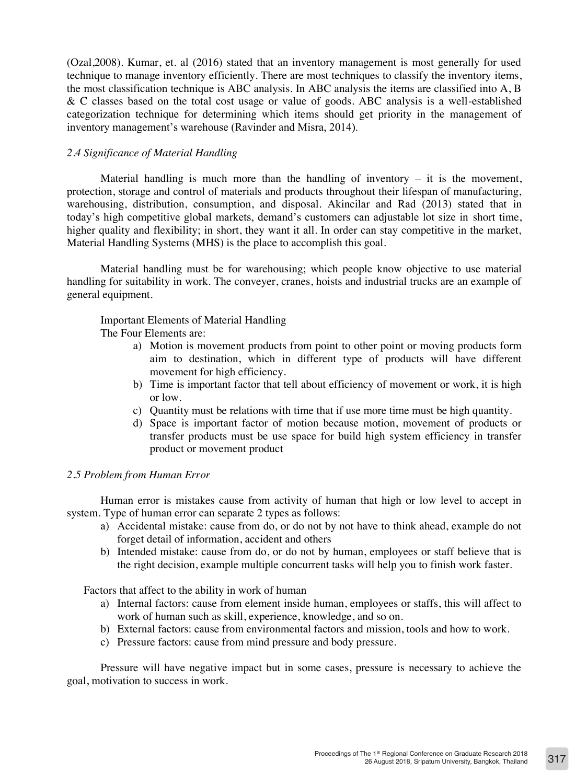(Ozal,2008). Kumar, et. al (2016) stated that an inventory management is most generally for used technique to manage inventory efficiently. There are most techniques to classify the inventory items, the most classification technique is ABC analysis. In ABC analysis the items are classified into A, B & C classes based on the total cost usage or value of goods. ABC analysis is a well-established categorization technique for determining which items should get priority in the management of inventory management's warehouse (Ravinder and Misra, 2014).

## *2.4 Significance of Material Handling*

Material handling is much more than the handling of inventory  $-$  it is the movement, protection, storage and control of materials and products throughout their lifespan of manufacturing, warehousing, distribution, consumption, and disposal. Akincilar and Rad (2013) stated that in today's high competitive global markets, demand's customers can adjustable lot size in short time, higher quality and flexibility; in short, they want it all. In order can stay competitive in the market, Material Handling Systems (MHS) is the place to accomplish this goal.

Material handling must be for warehousing; which people know objective to use material handling for suitability in work. The conveyer, cranes, hoists and industrial trucks are an example of general equipment.

Important Elements of Material Handling

The Four Elements are:

- a) Motion is movement products from point to other point or moving products form aim to destination, which in different type of products will have different movement for high efficiency.
- b) Time is important factor that tell about efficiency of movement or work, it is high or low.
- c) Quantity must be relations with time that if use more time must be high quantity.
- d) Space is important factor of motion because motion, movement of products or transfer products must be use space for build high system efficiency in transfer product or movement product

## *2.5 Problem from Human Error*

Human error is mistakes cause from activity of human that high or low level to accept in system. Type of human error can separate 2 types as follows:

- a) Accidental mistake: cause from do, or do not by not have to think ahead, example do not forget detail of information, accident and others
- b) Intended mistake: cause from do, or do not by human, employees or staff believe that is the right decision, example multiple concurrent tasks will help you to finish work faster.

Factors that affect to the ability in work of human

- a) Internal factors: cause from element inside human, employees or staffs, this will affect to work of human such as skill, experience, knowledge, and so on.
- b) External factors: cause from environmental factors and mission, tools and how to work.
- c) Pressure factors: cause from mind pressure and body pressure.

Pressure will have negative impact but in some cases, pressure is necessary to achieve the goal, motivation to success in work.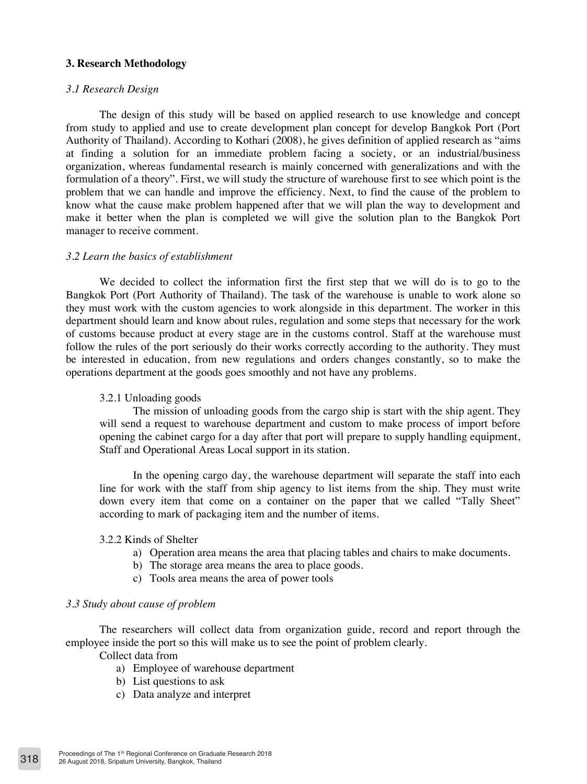## **3. Research Methodology**

#### *3.1 Research Design*

The design of this study will be based on applied research to use knowledge and concept from study to applied and use to create development plan concept for develop Bangkok Port (Port Authority of Thailand). According to Kothari (2008), he gives definition of applied research as "aims at finding a solution for an immediate problem facing a society, or an industrial/business organization, whereas fundamental research is mainly concerned with generalizations and with the formulation of a theory". First, we will study the structure of warehouse first to see which point is the problem that we can handle and improve the efficiency. Next, to find the cause of the problem to know what the cause make problem happened after that we will plan the way to development and make it better when the plan is completed we will give the solution plan to the Bangkok Port manager to receive comment.

#### *3.2 Learn the basics of establishment*

We decided to collect the information first the first step that we will do is to go to the Bangkok Port (Port Authority of Thailand). The task of the warehouse is unable to work alone so they must work with the custom agencies to work alongside in this department. The worker in this department should learn and know about rules, regulation and some steps that necessary for the work of customs because product at every stage are in the customs control. Staff at the warehouse must follow the rules of the port seriously do their works correctly according to the authority. They must be interested in education, from new regulations and orders changes constantly, so to make the operations department at the goods goes smoothly and not have any problems.

## 3.2.1 Unloading goods

The mission of unloading goods from the cargo ship is start with the ship agent. They will send a request to warehouse department and custom to make process of import before opening the cabinet cargo for a day after that port will prepare to supply handling equipment, Staff and Operational Areas Local support in its station.

In the opening cargo day, the warehouse department will separate the staff into each line for work with the staff from ship agency to list items from the ship. They must write down every item that come on a container on the paper that we called "Tally Sheet" according to mark of packaging item and the number of items.

#### 3.2.2 Kinds of Shelter

- a) Operation area means the area that placing tables and chairs to make documents.
- b) The storage area means the area to place goods.
- c) Tools area means the area of power tools

#### *3.3 Study about cause of problem*

The researchers will collect data from organization guide, record and report through the employee inside the port so this will make us to see the point of problem clearly.

Collect data from

- a) Employee of warehouse department
- b) List questions to ask
- c) Data analyze and interpret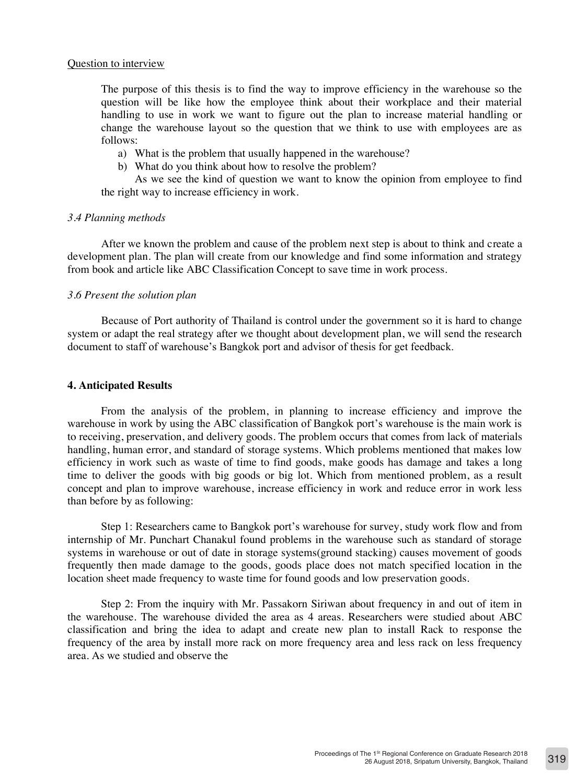The purpose of this thesis is to find the way to improve efficiency in the warehouse so the question will be like how the employee think about their workplace and their material handling to use in work we want to figure out the plan to increase material handling or change the warehouse layout so the question that we think to use with employees are as follows:

- a) What is the problem that usually happened in the warehouse?
- b) What do you think about how to resolve the problem?

As we see the kind of question we want to know the opinion from employee to find the right way to increase efficiency in work.

## *3.4 Planning methods*

After we known the problem and cause of the problem next step is about to think and create a development plan. The plan will create from our knowledge and find some information and strategy from book and article like ABC Classification Concept to save time in work process.

#### *3.6 Present the solution plan*

Because of Port authority of Thailand is control under the government so it is hard to change system or adapt the real strategy after we thought about development plan, we will send the research document to staff of warehouse's Bangkok port and advisor of thesis for get feedback.

#### **4. Anticipated Results**

From the analysis of the problem, in planning to increase efficiency and improve the warehouse in work by using the ABC classification of Bangkok port's warehouse is the main work is to receiving, preservation, and delivery goods. The problem occurs that comes from lack of materials handling, human error, and standard of storage systems. Which problems mentioned that makes low efficiency in work such as waste of time to find goods, make goods has damage and takes a long time to deliver the goods with big goods or big lot. Which from mentioned problem, as a result concept and plan to improve warehouse, increase efficiency in work and reduce error in work less than before by as following:

Step 1: Researchers came to Bangkok port's warehouse for survey, study work flow and from internship of Mr. Punchart Chanakul found problems in the warehouse such as standard of storage systems in warehouse or out of date in storage systems(ground stacking) causes movement of goods frequently then made damage to the goods, goods place does not match specified location in the location sheet made frequency to waste time for found goods and low preservation goods.

Step 2: From the inquiry with Mr. Passakorn Siriwan about frequency in and out of item in the warehouse. The warehouse divided the area as 4 areas. Researchers were studied about ABC classification and bring the idea to adapt and create new plan to install Rack to response the frequency of the area by install more rack on more frequency area and less rack on less frequency area. As we studied and observe the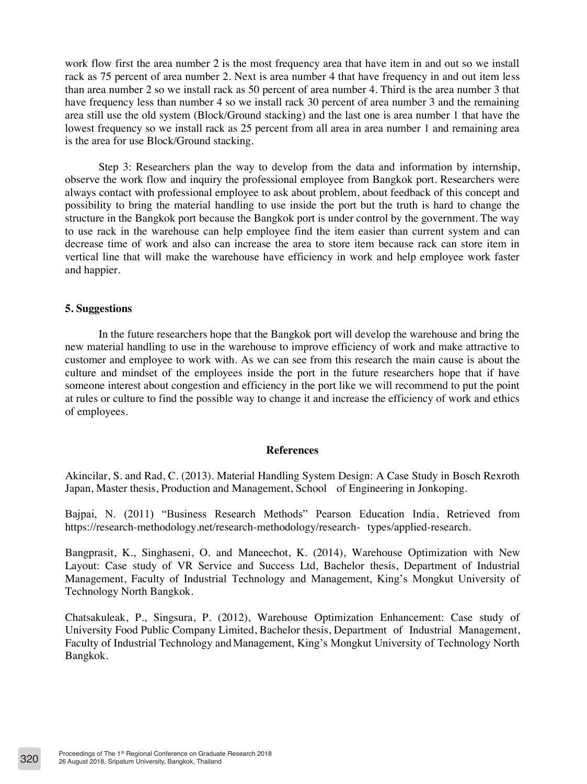work flow first the area number 2 is the most frequency area that have item in and out so we install rack as 75 percent of area number 2. Next is area number 4 that have frequency in and out item less than area number 2 so we install rack as 50 percent of area number 4. Third is the area number 3 that have frequency less than number 4 so we install rack 30 percent of area number 3 and the remaining area still use the old system (Block/Ground stacking) and the last one is area number 1 that have the lowest frequency so we install rack as 25 percent from all area in area number 1 and remaining area is the area for use Block/Ground stacking.

Step 3: Researchers plan the way to develop from the data and information by internship, observe the work flow and inquiry the professional employee from Bangkok port. Researchers were always contact with professional employee to ask about problem, about feedback of this concept and possibility to bring the material handling to use inside the port but the truth is hard to change the structure in the Bangkok port because the Bangkok port is under control by the government. The way to use rack in the warehouse can help employee find the item easier than current system and can decrease time of work and also can increase the area to store item because rack can store item in vertical line that will make the warehouse have efficiency in work and help employee work faster and happier.

#### **5. Suggestions**

In the future researchers hope that the Bangkok port will develop the warehouse and bring the new material handling to use in the warehouse to improve efficiency of work and make attractive to customer and employee to work with. As we can see from this research the main cause is about the culture and mindset of the employees inside the port in the future researchers hope that if have someone interest about congestion and efficiency in the port like we will recommend to put the point at rules or culture to find the possible way to change it and increase the efficiency of work and ethics of employees.

## **References**

Akincilar, S. and Rad, C. (2013). Material Handling System Design: A Case Study in Bosch Rexroth Japan, Master thesis, Production and Management, School of Engineering in Jonkoping.

Bajpai, N. (2011) "Business Research Methods" Pearson Education India, Retrieved from https://research-methodology.net/research-methodology/research- types/applied-research.

Bangprasit, K., Singhaseni, O. and Maneechot, K. (2014), Warehouse Optimization with New Layout: Case study of VR Service and Success Ltd, Bachelor thesis, Department of Industrial Management, Faculty of Industrial Technology and Management, King's Mongkut University of Technology North Bangkok.

Chatsakuleak, P., Singsura, P. (2012), Warehouse Optimization Enhancement: Case study of University Food Public Company Limited, Bachelor thesis, Department of Industrial Management, Faculty of Industrial Technology and Management, King's Mongkut University of Technology North Bangkok.